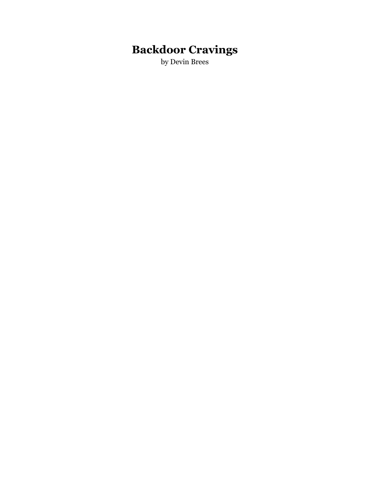## **Backdoor Cravings**

by Devin Brees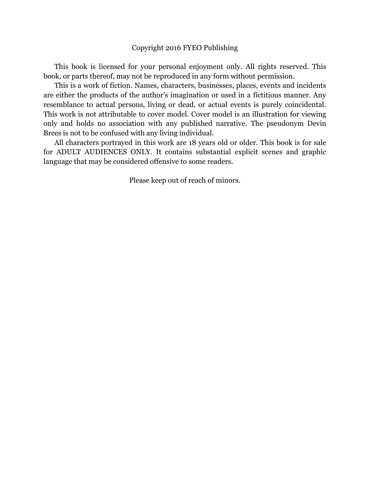## Copyright 2016 FYEO Publishing

This book is licensed for your personal enjoyment only. All rights reserved. This book, or parts thereof, may not be reproduced in any form without permission.

This is a work of fiction. Names, characters, businesses, places, events and incidents are either the products of the author's imagination or used in a fictitious manner. Any resemblance to actual persons, living or dead, or actual events is purely coincidental. This work is not attributable to cover model. Cover model is an illustration for viewing only and holds no association with any published narrative. The pseudonym Devin Brees is not to be confused with any living individual.

All characters portrayed in this work are 18 years old or older. This book is for sale for ADULT AUDIENCES ONLY. It contains substantial explicit scenes and graphic language that may be considered offensive to some readers.

Please keep out of reach of minors.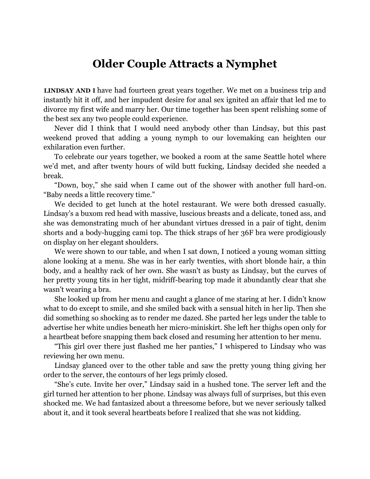## **Older Couple Attracts a Nymphet**

**LINDSAY AND I** have had fourteen great years together. We met on a business trip and instantly hit it off, and her impudent desire for anal sex ignited an affair that led me to divorce my first wife and marry her. Our time together has been spent relishing some of the best sex any two people could experience.

Never did I think that I would need anybody other than Lindsay, but this past weekend proved that adding a young nymph to our lovemaking can heighten our exhilaration even further.

To celebrate our years together, we booked a room at the same Seattle hotel where we'd met, and after twenty hours of wild butt fucking, Lindsay decided she needed a break.

"Down, boy," she said when I came out of the shower with another full hard-on. "Baby needs a little recovery time."

We decided to get lunch at the hotel restaurant. We were both dressed casually. Lindsay's a buxom red head with massive, luscious breasts and a delicate, toned ass, and she was demonstrating much of her abundant virtues dressed in a pair of tight, denim shorts and a body-hugging cami top. The thick straps of her 36F bra were prodigiously on display on her elegant shoulders.

We were shown to our table, and when I sat down, I noticed a young woman sitting alone looking at a menu. She was in her early twenties, with short blonde hair, a thin body, and a healthy rack of her own. She wasn't as busty as Lindsay, but the curves of her pretty young tits in her tight, midriff-bearing top made it abundantly clear that she wasn't wearing a bra.

She looked up from her menu and caught a glance of me staring at her. I didn't know what to do except to smile, and she smiled back with a sensual hitch in her lip. Then she did something so shocking as to render me dazed. She parted her legs under the table to advertise her white undies beneath her micro-miniskirt. She left her thighs open only for a heartbeat before snapping them back closed and resuming her attention to her menu.

"This girl over there just flashed me her panties," I whispered to Lindsay who was reviewing her own menu.

Lindsay glanced over to the other table and saw the pretty young thing giving her order to the server, the contours of her legs primly closed.

"She's cute. Invite her over," Lindsay said in a hushed tone. The server left and the girl turned her attention to her phone. Lindsay was always full of surprises, but this even shocked me. We had fantasized about a threesome before, but we never seriously talked about it, and it took several heartbeats before I realized that she was not kidding.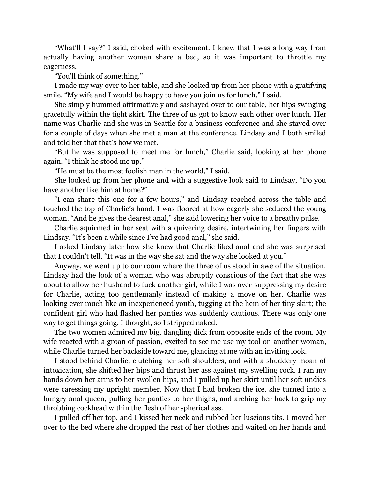"What'll I say?" I said, choked with excitement. I knew that I was a long way from actually having another woman share a bed, so it was important to throttle my eagerness.

"You'll think of something."

I made my way over to her table, and she looked up from her phone with a gratifying smile. "My wife and I would be happy to have you join us for lunch," I said.

She simply hummed affirmatively and sashayed over to our table, her hips swinging gracefully within the tight skirt. The three of us got to know each other over lunch. Her name was Charlie and she was in Seattle for a business conference and she stayed over for a couple of days when she met a man at the conference. Lindsay and I both smiled and told her that that's how we met.

"But he was supposed to meet me for lunch," Charlie said, looking at her phone again. "I think he stood me up."

"He must be the most foolish man in the world," I said.

She looked up from her phone and with a suggestive look said to Lindsay, "Do you have another like him at home?"

"I can share this one for a few hours," and Lindsay reached across the table and touched the top of Charlie's hand. I was floored at how eagerly she seduced the young woman. "And he gives the dearest anal," she said lowering her voice to a breathy pulse.

Charlie squirmed in her seat with a quivering desire, intertwining her fingers with Lindsay. "It's been a while since I've had good anal," she said.

I asked Lindsay later how she knew that Charlie liked anal and she was surprised that I couldn't tell. "It was in the way she sat and the way she looked at you."

Anyway, we went up to our room where the three of us stood in awe of the situation. Lindsay had the look of a woman who was abruptly conscious of the fact that she was about to allow her husband to fuck another girl, while I was over-suppressing my desire for Charlie, acting too gentlemanly instead of making a move on her. Charlie was looking ever much like an inexperienced youth, tugging at the hem of her tiny skirt; the confident girl who had flashed her panties was suddenly cautious. There was only one way to get things going, I thought, so I stripped naked.

The two women admired my big, dangling dick from opposite ends of the room. My wife reacted with a groan of passion, excited to see me use my tool on another woman, while Charlie turned her backside toward me, glancing at me with an inviting look.

I stood behind Charlie, clutching her soft shoulders, and with a shuddery moan of intoxication, she shifted her hips and thrust her ass against my swelling cock. I ran my hands down her arms to her swollen hips, and I pulled up her skirt until her soft undies were caressing my upright member. Now that I had broken the ice, she turned into a hungry anal queen, pulling her panties to her thighs, and arching her back to grip my throbbing cockhead within the flesh of her spherical ass.

I pulled off her top, and I kissed her neck and rubbed her luscious tits. I moved her over to the bed where she dropped the rest of her clothes and waited on her hands and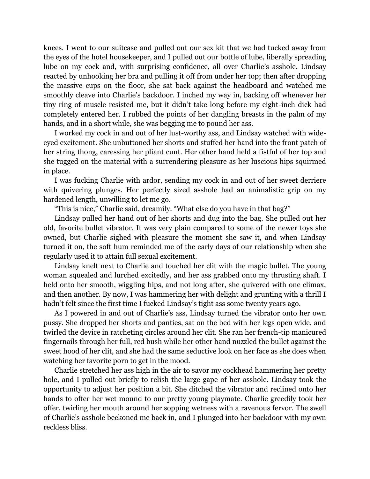knees. I went to our suitcase and pulled out our sex kit that we had tucked away from the eyes of the hotel housekeeper, and I pulled out our bottle of lube, liberally spreading lube on my cock and, with surprising confidence, all over Charlie's asshole. Lindsay reacted by unhooking her bra and pulling it off from under her top; then after dropping the massive cups on the floor, she sat back against the headboard and watched me smoothly cleave into Charlie's backdoor. I inched my way in, backing off whenever her tiny ring of muscle resisted me, but it didn't take long before my eight-inch dick had completely entered her. I rubbed the points of her dangling breasts in the palm of my hands, and in a short while, she was begging me to pound her ass.

I worked my cock in and out of her lust-worthy ass, and Lindsay watched with wideeyed excitement. She unbuttoned her shorts and stuffed her hand into the front patch of her string thong, caressing her pliant cunt. Her other hand held a fistful of her top and she tugged on the material with a surrendering pleasure as her luscious hips squirmed in place.

I was fucking Charlie with ardor, sending my cock in and out of her sweet derriere with quivering plunges. Her perfectly sized asshole had an animalistic grip on my hardened length, unwilling to let me go.

"This is nice," Charlie said, dreamily. "What else do you have in that bag?"

Lindsay pulled her hand out of her shorts and dug into the bag. She pulled out her old, favorite bullet vibrator. It was very plain compared to some of the newer toys she owned, but Charlie sighed with pleasure the moment she saw it, and when Lindsay turned it on, the soft hum reminded me of the early days of our relationship when she regularly used it to attain full sexual excitement.

Lindsay knelt next to Charlie and touched her clit with the magic bullet. The young woman squealed and lurched excitedly, and her ass grabbed onto my thrusting shaft. I held onto her smooth, wiggling hips, and not long after, she quivered with one climax, and then another. By now, I was hammering her with delight and grunting with a thrill I hadn't felt since the first time I fucked Lindsay's tight ass some twenty years ago.

As I powered in and out of Charlie's ass, Lindsay turned the vibrator onto her own pussy. She dropped her shorts and panties, sat on the bed with her legs open wide, and twirled the device in ratcheting circles around her clit. She ran her french-tip manicured fingernails through her full, red bush while her other hand nuzzled the bullet against the sweet hood of her clit, and she had the same seductive look on her face as she does when watching her favorite porn to get in the mood.

Charlie stretched her ass high in the air to savor my cockhead hammering her pretty hole, and I pulled out briefly to relish the large gape of her asshole. Lindsay took the opportunity to adjust her position a bit. She ditched the vibrator and reclined onto her hands to offer her wet mound to our pretty young playmate. Charlie greedily took her offer, twirling her mouth around her sopping wetness with a ravenous fervor. The swell of Charlie's asshole beckoned me back in, and I plunged into her backdoor with my own reckless bliss.